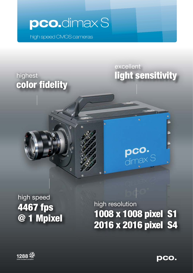

 $\mathfrak{h}$ 

high speed CMOS cameras

## highest color fidelity

## excellent light sensitivity

a,

pco.<br>dimax S

# high speed 4467 fps @ 1 Mpixel

# high resolution 1008 x 1008 pixel S1 2016 x 2016 pixel S4



**pco.**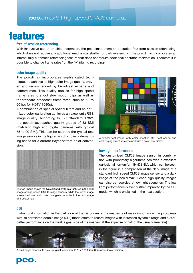## features

## **free of session referencing**

With innovative use of on chip information, the pco.dimax offers an operation free from session referencing, which does not require any additional mechanical shutter for dark referencing. The pco.dimax incorporates an internal fully automatic referencing feature that does not require additional operator intervention. Therefore it is possible to change frame rates "on the fly" (during recording).

## **color image quality**

The pco.dimax incorporates sophisticated techniques to achieve its high color image quality, proven and recommended by broadcast experts and camera men. This quality applies for high speed frame rates to shoot slow motion clips as well as for standard broadcast frame rates (such as 50 to 60 fps for HDTV 1080p).

A combination of special optical filters and an optimized color-calibration achieves an excellent sRGB image quality. According to ISO Standard 17321 the pco.dimax reaches quality grades of 83 SMI (matching high end digital cameras with typical 75 to 90 SMI). This can be seen by the typical test image sample in the figure, which shows a demanding scene for a correct Bayer pattern color conversion.



The top image shows the typical fixed pattern structures in the dark image of high speed CMOS image sensors, while the lower image shows the lower and more homogeneous noise in the dark image of a pco.dimax.



A typical test image with color checker, MTF test charts and challenging structures obtained with a color pco.dimax.

## **low light performance**

The customized CMOS image sensor in combination with proprietary algorithms achieves a excellent dark signal non-uniformity (DSNU), which can be seen in the figure in a comparison of the dark image of a standard high speed CMOS image sensor and a dark image of the pco.dimax. Hence high quality images can also be recorded at low light sceneries. The low light performance is even further improved by the CDI mode, which is explained in the next section.

## **CDI**

If structural information in the dark side of the histogram of the images is of major importance, the pco.dimax with its correlated double image (CDI) mode offers to record images with increased dynamic range and a 30% better performance on the weak signal side of the images (at the expense of half of the usual frame rate).



A bald eagle catches its prey - original resolution 1920 x 1080 @ 500 frames/s (color version)

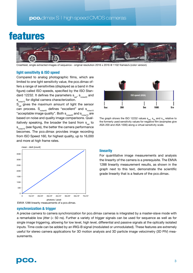## features



Crashtest, single extracted images of sequence - original resolution 2016 x 2016 @ 1102 frames/s (color version)

## **light sensitivity & ISO speed**

Compared to analog photographic films, which are limited to one light sensitivity value, the pco.dimax offers a range of sensitivities (displayed as a band in the figure) called ISO speeds, specified by the ISO Standard 12232. It defines the parameters  $s_{sat}$ ,  $s_{noise40}$  and s noise10 for digital camera characterization.

 $S_{\text{sat}}$  gives the maximum amount of light the sensor can process.  $S_{noise40}$  defines "excellent" and  $S_{noise10}$ "acceptable image quality". Both  $s_{\text{noise}40}$  and  $s_{\text{noise}10}$  are based on noise and quality image comparisons. Qualitatively speaking, the broader the band from  $s_{\text{out}}$  to s<sub>noise10</sub> (see figure), the better the camera performance becomes. The pco.dimax provides image recording from ISO Speed 160, for highest quality, up to 16,000 and more at high frame rates.



The graph shows the ISO 12232 values  $s_{sat}$ ,  $s_{40}$  and  $s_{10}$  relative to the formerly used sensitivity values for negative film (examples give ASA 200 and ASA 1000) along a virtual sensitivity scale.



## **linearity**

For quantitative image measurements and analysis the linearity of the camera is a prerequisite. The EMVA 1288 linearity measurement results, as shown in the graph next to this text, demonstrate the scientific grade linearity that is a feature of the pco.dimax.

## **synchronization & trigger**

A precise camera to camera synchronization for pco.dimax cameras is integrated by a master-slave mode with a remarkable low jitter (< 50 ns). Further a variety of trigger signals can be used for sequence as well as for single image triggering, allowing for low level, high level, differential and passive signals at the optically isolated inputs. Time code can be added by an IRIG-B signal (modulated or unmodulated). These features are extremely useful for stereo camera applications for 3D motion analysis and 3D particle image velocimetry (3D PIV) measurements.

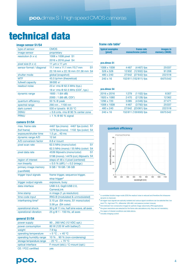# technical data

| <b>image sensor S1/S4</b>   |                                                            |
|-----------------------------|------------------------------------------------------------|
| type of sensor              | <b>CMOS</b>                                                |
| image sensor                | proprietary                                                |
| resolution ( $h \times v$ ) | 1008 x 1008 pixel S1                                       |
|                             | 2016 x 2016 pixel S4                                       |
| pixel size (h x v)          | 11 $\mu$ m x 11 $\mu$ m                                    |
| sensor format / diagonal    | 11.1 mm $\times$ 11.1 mm /15.7 mm<br>S <sub>1</sub>        |
|                             | 22.18 mm x 22.18 mm /31.36 mm S4                           |
| shutter mode                | global (snapshot)                                          |
| <b>MTF</b>                  | 45.5 lp/mm (theoretical)                                   |
| fullwell capacity           | 36000 e-                                                   |
| readout noise               | 23 e- rms @ 62.5 MHz (typ.)                                |
|                             | 18 e <sup>-</sup> rms @ 62.5 MHz (CDI <sup>1</sup> , typ.) |
| dynamic range               | 1600:1(64dB)                                               |
|                             | 2000:1(66 dB, CDI)                                         |
| quantum efficiency          | 50 % @ peak                                                |
| spectral range              | 290 nm  1100 nm                                            |
| dark current                | 530 e-/pixel/s @ 20 $^{\circ}$ C                           |
| <b>DSNU</b>                 | $<$ 0.6 cnts, rms @ 90 % center zone                       |
| <b>PRNU</b>                 | $1\%$ @ 80 % signal                                        |

## **camera S1/S4**

| max, frame rate                | 4467 fps (mono) 4467 fps (color) S1          |  |
|--------------------------------|----------------------------------------------|--|
| (full frame)                   | 1279 fps (mono)<br>1102 fps (color) S4       |  |
| exposure/shutter time          | $1.5 \,\mu s$ 40 ms                          |  |
| dynamic range A/D              | 12 bit                                       |  |
| A/D conversion factor          | 8.8 e-/count                                 |  |
| pixel scan rate                | S <sub>1</sub><br>62.5 MHz (mono/color)      |  |
|                                | 62.5 MHz (mono) / 55 MHz (color) S4          |  |
| pixel data rate                | 4539 Mpixel/s (mono/color)<br>S <sub>1</sub> |  |
|                                | 5198 (mono) / 4479 (col.) Mpixel/s S4        |  |
| region of interest             | steps of 48 x 4 pixel (centered)             |  |
| non linearity                  | $< 0.5$ % (diff.) $/ < 0.2$ (integr.)        |  |
| primary image memory           | 9 GB / 18 GB / 36 GB                         |  |
| (camRAM)                       |                                              |  |
| trigger input signals          | frame trigger, sequence trigger,             |  |
|                                | stop trigger <sup>2</sup>                    |  |
| trigger output signals         | exposure, busy                               |  |
| data interface                 | USB 3.0, GigE/USB 2.0,                       |  |
|                                | <b>CameraLink</b>                            |  |
| time stamp                     | in image (1 µs resolution)                   |  |
| time code input                | IRIG-B (modulated & unmodulated)             |  |
| interframing time <sup>3</sup> | 3.15 µs (S4 mono, S1 mono/color)             |  |
|                                | $3.58 \,\mu s$ (S4 color)                    |  |
| operational shock              | 30 g @ 11 ms, half sine wave, all axes       |  |
| operational vibration          | 25 g @ 1 - 150 Hz, all axes                  |  |

## **general S1/S4**

| power supply              | 90260 VAC (12 VDC opt.)                 |
|---------------------------|-----------------------------------------|
| power consumption         | 80 W (120 W with battery <sup>5</sup> ) |
| weight                    | 7.9 kg                                  |
| operating temperature     | $+5 °C + 40 °C$                         |
| operating humidity range  | 10 %  90 % (non-condensing)             |
| storage temperature range | $-20 °C + 70 °C$                        |
| optical interface         | F-mount (std.) / C-mount (opt.)         |
| CE / FCC certified        | ves                                     |
|                           |                                         |

## **frame rate table<sup>4</sup>**

| typical examples | frame rate         | <i>images in</i> |
|------------------|--------------------|------------------|
| [pixel]          | monochrome (color) | memory (36GB)    |
|                  |                    |                  |

## **pco.dimax S1**

| 1008 x 1008      | $(4467)$ fps<br>4467 | 25037   |
|------------------|----------------------|---------|
| $528 \times 528$ | 12932 (12932) fps    | 91208   |
| 480 x 240        | 27642 (27642) fps    | 222518  |
| $240 \times 16$  | 152811 (152811) fps  | 6675542 |

## **pco.dimax S4**

| 2016 x 2016     | $(1102)$ fps<br>1279 | 6307    |
|-----------------|----------------------|---------|
| 1920 x 1080     | (2 1 28) fps<br>2470 | 12362   |
| 1296 x 720      | $(4346)$ fps<br>5085 | 27471   |
| 1008 x 1008     | (3792) fps<br>4467   | 25037   |
| 480 x 240       | 27642 (23061) fps    | 222518  |
| $240 \times 16$ | 152811 (130650) fps  | 6675542 |
|                 |                      |         |



1 in correlated double image mode (CDI) the readout noise is reduced and therefore the intrascene dynamic is improved.

2 all trigger input signals are optically isolated and various signal conditions can be selected like: low level TTL, high level TTL, differential (RS-485) and passive (contact closure).

3 time between two consecutive images for particle image velocimetry (PIV) applications 4 the given resolutions are selected for the frame rate calculations only, they are not mandatory.

For region of interest conditions see table above. 5 includes charging current

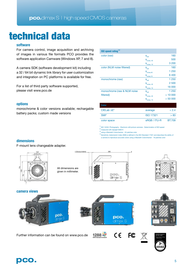# technical data

## **software**

For camera control, image acquisition and archiving of images in various file formats PCO provides the software application Camware (Windows XP, 7 and 8).

A camera SDK (software development kit) including a 32 / 64 bit dynamic link library for user customization and integration on PC platforms is available for free.

For a list of third party software supported, please visit www.pco.de

## **options**

monochrome & color versions available; rechargable battery packs; custom made versions

| <b>ISO</b> speed rating <sup>1,2</sup> |                                |         |
|----------------------------------------|--------------------------------|---------|
| color (raw)                            | $S_{\text{sat}}$               | 160     |
|                                        | $S_{noise, 40}$                | 500     |
|                                        | $S_{\text{noise}, 10}$         | 3 2 0 0 |
| color (NLM noise filtered)             | $S_{\text{sat}}$               | 160     |
|                                        | $\mathbf{S}_{\text{noise},40}$ | 1 250   |
|                                        | $S_{\text{noise},10}$          | 6400    |
| monochrome (raw)                       | $\mathbf{S}_{\text{sat}}$      | 1 2 5 0 |
|                                        | $S_{noise, 40}$                | 2 500   |
|                                        | $S_{noise, 10}$                | 16 000  |
| monochrome (raw & NLM noise            | $S_{\text{sat}}$               | 1 2 5 0 |
| filtered)                              | $S_{noise, 40}$                | >10000  |
|                                        | $S_{noise, 10}$                | > 50000 |

| <b>Color</b>           |                  |               |
|------------------------|------------------|---------------|
| $CIELab$ $\Lambda E^3$ | average          | &2.4          |
| SMI <sup>4</sup>       | <b>ISO 17321</b> | > 83          |
| color space            | sRGB / ITU-R     | <b>BT.709</b> |

 $\frac{1}{2}$  ISO 12232: Photography - Electronic still-picture cameras - Determination of ISO speed 2 measured with daylight 6000 K

3 using a Macbeth Colorchecker - 24 patches color

<sup>4</sup>Sensitivity metamersim index (SMI) is defined in the ISO Standard 17321 and describes the ability of a camera to reproduce accurate colors using a Macbeth Colorchecker - 18 patches color

## **dimensions**

F-mount lens changeable adapter.















 $C \in$